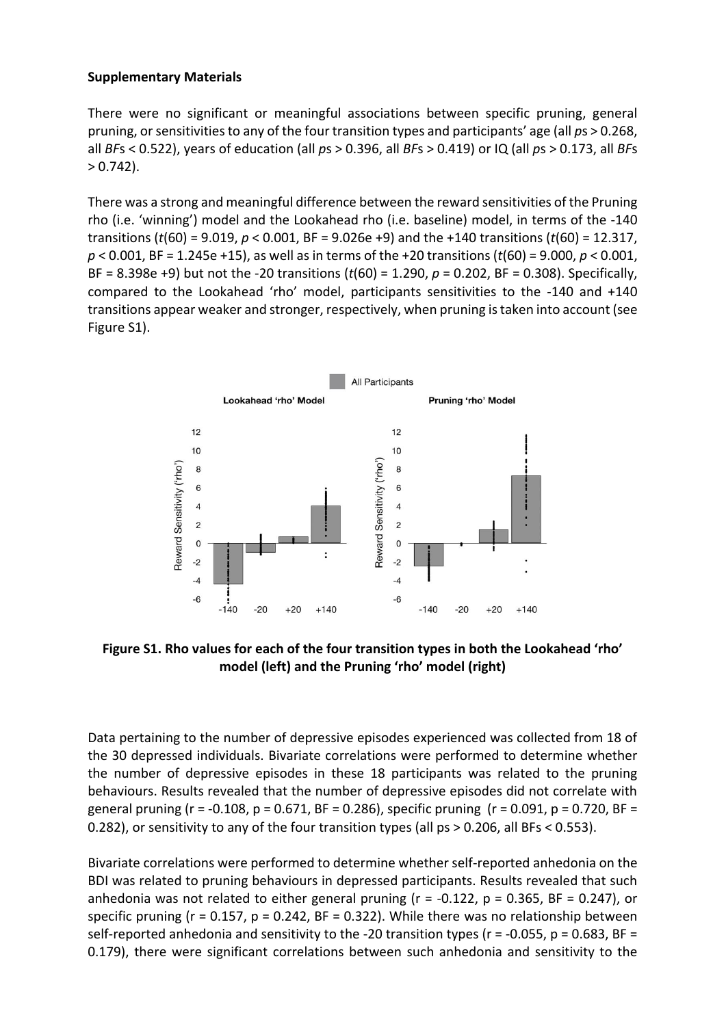## **Supplementary Materials**

There were no significant or meaningful associations between specific pruning, general pruning, or sensitivities to any of the four transition types and participants' age (all *p*s > 0.268, all *BF*s < 0.522), years of education (all *p*s > 0.396, all *BF*s > 0.419) or IQ (all *p*s > 0.173, all *BF*s  $> 0.742$ ).

There was a strong and meaningful difference between the reward sensitivities of the Pruning rho (i.e. 'winning') model and the Lookahead rho (i.e. baseline) model, in terms of the -140 transitions (*t*(60) = 9.019, *p* < 0.001, BF = 9.026e +9) and the +140 transitions (*t*(60) = 12.317, *p* < 0.001, BF = 1.245e +15), as well as in terms of the +20 transitions (*t*(60) = 9.000, *p* < 0.001, BF = 8.398e +9) but not the -20 transitions (*t*(60) = 1.290, *p* = 0.202, BF = 0.308). Specifically, compared to the Lookahead 'rho' model, participants sensitivities to the -140 and +140 transitions appear weaker and stronger, respectively, when pruning is taken into account (see Figure S1).



**Figure S1. Rho values for each of the four transition types in both the Lookahead 'rho' model (left) and the Pruning 'rho' model (right)**

Data pertaining to the number of depressive episodes experienced was collected from 18 of the 30 depressed individuals. Bivariate correlations were performed to determine whether the number of depressive episodes in these 18 participants was related to the pruning behaviours. Results revealed that the number of depressive episodes did not correlate with general pruning ( $r = -0.108$ ,  $p = 0.671$ ,  $BF = 0.286$ ), specific pruning ( $r = 0.091$ ,  $p = 0.720$ ,  $BF =$ 0.282), or sensitivity to any of the four transition types (all ps > 0.206, all BFs < 0.553).

Bivariate correlations were performed to determine whether self-reported anhedonia on the BDI was related to pruning behaviours in depressed participants. Results revealed that such anhedonia was not related to either general pruning ( $r = -0.122$ ,  $p = 0.365$ , BF = 0.247), or specific pruning ( $r = 0.157$ ,  $p = 0.242$ ,  $BF = 0.322$ ). While there was no relationship between self-reported anhedonia and sensitivity to the -20 transition types ( $r = -0.055$ ,  $p = 0.683$ , BF = 0.179), there were significant correlations between such anhedonia and sensitivity to the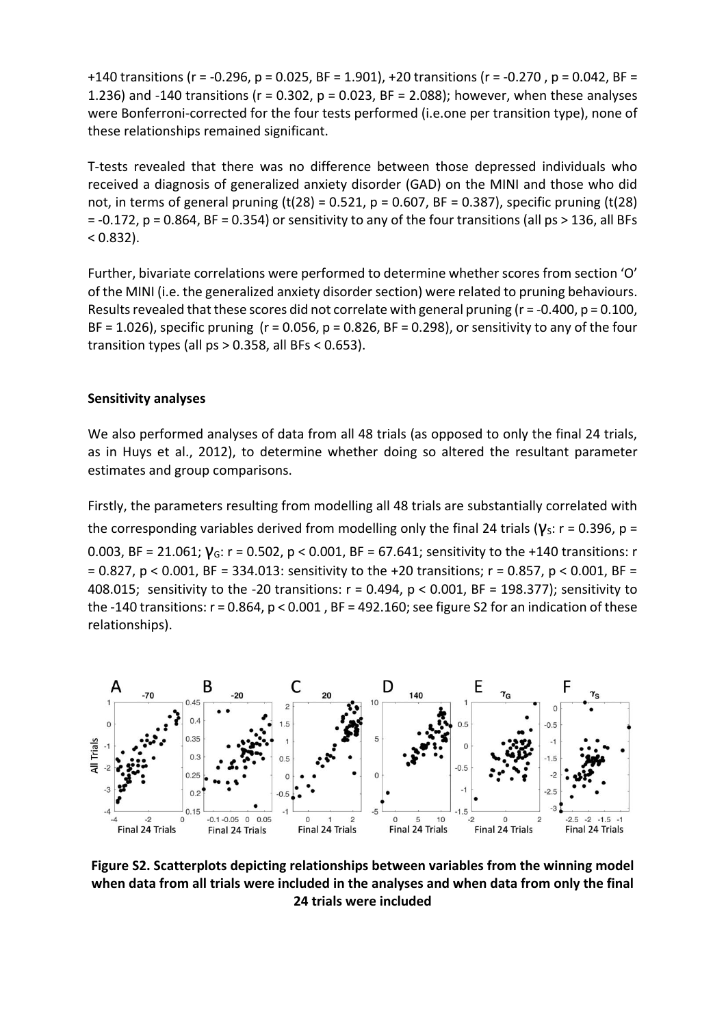+140 transitions (r = -0.296, p = 0.025, BF = 1.901), +20 transitions (r = -0.270 , p = 0.042, BF = 1.236) and -140 transitions (r = 0.302, p = 0.023, BF = 2.088); however, when these analyses were Bonferroni-corrected for the four tests performed (i.e.one per transition type), none of these relationships remained significant.

T-tests revealed that there was no difference between those depressed individuals who received a diagnosis of generalized anxiety disorder (GAD) on the MINI and those who did not, in terms of general pruning (t(28) = 0.521,  $p = 0.607$ , BF = 0.387), specific pruning (t(28) = -0.172, p = 0.864, BF = 0.354) or sensitivity to any of the four transitions (all ps > 136, all BFs  $(0.832)$ .

Further, bivariate correlations were performed to determine whether scores from section 'O' of the MINI (i.e. the generalized anxiety disorder section) were related to pruning behaviours. Results revealed that these scores did not correlate with general pruning (r = -0.400, p = 0.100, BF = 1.026), specific pruning ( $r = 0.056$ ,  $p = 0.826$ , BF = 0.298), or sensitivity to any of the four transition types (all  $ps > 0.358$ , all BFs < 0.653).

## **Sensitivity analyses**

We also performed analyses of data from all 48 trials (as opposed to only the final 24 trials, as in Huys et al., 2012), to determine whether doing so altered the resultant parameter estimates and group comparisons.

Firstly, the parameters resulting from modelling all 48 trials are substantially correlated with the corresponding variables derived from modelling only the final 24 trials ( $V_s$ : r = 0.396, p =

0.003, BF = 21.061;  $V_G$ : r = 0.502, p < 0.001, BF = 67.641; sensitivity to the +140 transitions: r = 0.827, p < 0.001, BF = 334.013: sensitivity to the +20 transitions; r = 0.857, p < 0.001, BF = 408.015; sensitivity to the -20 transitions: r = 0.494, p < 0.001, BF = 198.377); sensitivity to the -140 transitions:  $r = 0.864$ ,  $p < 0.001$ , BF = 492.160; see figure S2 for an indication of these relationships).



**Figure S2. Scatterplots depicting relationships between variables from the winning model when data from all trials were included in the analyses and when data from only the final 24 trials were included**